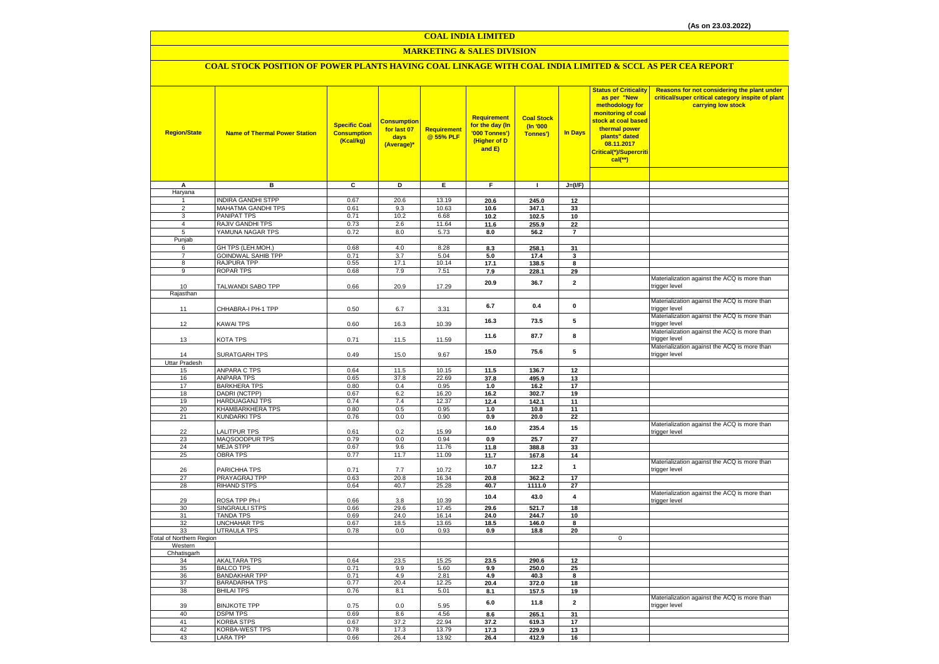#### **COAL INDIA LIMITED**

## **MARKETING & SALES DIVISION**

## **COAL STOCK POSITION OF POWER PLANTS HAVING COAL LINKAGE WITH COAL INDIA LIMITED & SCCL AS PER CEA REPORT**

| <b>Region/State</b>             | <b>Name of Thermal Power Station</b>           | <b>Specific Coal</b><br><b>Consumption</b><br>(Kcal/kg) | <b>Consumption</b><br>for last 07<br>days<br>(Average)* | <b>Requirement</b><br>@ 55% PLF | Requirement<br>for the day (In<br>'000 Tonnes')<br>(Higher of D<br>and $E$ ) | <b>Coal Stock</b><br>(In '000<br>Tonnes') | <b>In Days</b>          | <b>Status of Criticality</b><br>as per "New<br>methodology for<br>monitoring of coal<br>stock at coal based<br>thermal power<br>plants" dated<br>08.11.2017<br>Critical(*)/Supercriti<br>$cal$ (**) | Reasons for not considering the plant under<br>critical/super critical category inspite of plant<br>carrying low stock |
|---------------------------------|------------------------------------------------|---------------------------------------------------------|---------------------------------------------------------|---------------------------------|------------------------------------------------------------------------------|-------------------------------------------|-------------------------|-----------------------------------------------------------------------------------------------------------------------------------------------------------------------------------------------------|------------------------------------------------------------------------------------------------------------------------|
|                                 |                                                |                                                         |                                                         |                                 |                                                                              |                                           |                         |                                                                                                                                                                                                     |                                                                                                                        |
| Α<br>Haryana                    | в                                              | c                                                       | D                                                       | Е                               | F                                                                            | $\mathbf{I}$                              | $J=(I/F)$               |                                                                                                                                                                                                     |                                                                                                                        |
| $\mathbf{1}$                    | <b>INDIRA GANDHI STPP</b>                      | 0.67                                                    | 20.6                                                    | 13.19                           | 20.6                                                                         | 245.0                                     | 12                      |                                                                                                                                                                                                     |                                                                                                                        |
| $\overline{2}$                  | MAHATMA GANDHI TPS                             | 0.61                                                    | 9.3                                                     | 10.63                           | 10.6                                                                         | 347.1                                     | 33                      |                                                                                                                                                                                                     |                                                                                                                        |
| 3                               | PANIPAT TPS                                    | 0.71                                                    | 10.2                                                    | 6.68                            | 10.2                                                                         | 102.5                                     | 10                      |                                                                                                                                                                                                     |                                                                                                                        |
| $\overline{4}$                  | <b>RAJIV GANDHI TPS</b>                        | 0.73                                                    | 2.6                                                     | 11.64                           | 11.6                                                                         | 255.9                                     | 22                      |                                                                                                                                                                                                     |                                                                                                                        |
| 5                               | YAMUNA NAGAR TPS                               | 0.72                                                    | 8.0                                                     | 5.73                            | 8.0                                                                          | 56.2                                      | $\overline{7}$          |                                                                                                                                                                                                     |                                                                                                                        |
| Punjab                          |                                                |                                                         |                                                         |                                 |                                                                              |                                           |                         |                                                                                                                                                                                                     |                                                                                                                        |
| 6<br>$\overline{7}$             | GH TPS (LEH.MOH.)<br><b>GOINDWAL SAHIB TPP</b> | 0.68<br>0.71                                            | 4.0<br>3.7                                              | 8.28<br>5.04                    | 8.3                                                                          | 258.1<br>17.4                             | 31<br>3                 |                                                                                                                                                                                                     |                                                                                                                        |
| 8                               | <b>RAJPURA TPP</b>                             | 0.55                                                    | 17.1                                                    | 10.14                           | 5.0<br>17.1                                                                  | 138.5                                     | 8                       |                                                                                                                                                                                                     |                                                                                                                        |
| 9                               | <b>ROPAR TPS</b>                               | 0.68                                                    | 7.9                                                     | 7.51                            | 7.9                                                                          | 228.1                                     | 29                      |                                                                                                                                                                                                     |                                                                                                                        |
|                                 |                                                |                                                         |                                                         |                                 |                                                                              |                                           |                         |                                                                                                                                                                                                     | Materialization against the ACQ is more than                                                                           |
| 10                              | TALWANDI SABO TPP                              | 0.66                                                    | 20.9                                                    | 17.29                           | 20.9                                                                         | 36.7                                      | $\overline{\mathbf{2}}$ |                                                                                                                                                                                                     | trigger level                                                                                                          |
| Rajasthan                       |                                                |                                                         |                                                         |                                 |                                                                              |                                           |                         |                                                                                                                                                                                                     |                                                                                                                        |
| 11                              | CHHABRA-I PH-1 TPP                             | 0.50                                                    | 6.7                                                     | 3.31                            | 6.7                                                                          | 0.4                                       | 0                       |                                                                                                                                                                                                     | Materialization against the ACQ is more than<br>trigger level                                                          |
| 12                              | KAWAI TPS                                      | 0.60                                                    | 16.3                                                    | 10.39                           | 16.3                                                                         | 73.5                                      | 5                       |                                                                                                                                                                                                     | Materialization against the ACQ is more than<br>trigger level                                                          |
| 13                              | <b>KOTA TPS</b>                                | 0.71                                                    | 11.5                                                    | 11.59                           | 11.6                                                                         | 87.7                                      | 8                       |                                                                                                                                                                                                     | Materialization against the ACQ is more than<br>trigger level                                                          |
| 14                              | SURATGARH TPS                                  | 0.49                                                    | 15.0                                                    | 9.67                            | 15.0                                                                         | 75.6                                      | 5                       |                                                                                                                                                                                                     | Materialization against the ACQ is more than<br>trigger level                                                          |
| <b>Uttar Pradesh</b>            |                                                |                                                         |                                                         |                                 |                                                                              |                                           |                         |                                                                                                                                                                                                     |                                                                                                                        |
| 15                              | <b>ANPARA C TPS</b>                            | 0.64                                                    | 11.5                                                    | 10.15                           | 11.5                                                                         | 136.7                                     | 12                      |                                                                                                                                                                                                     |                                                                                                                        |
| 16<br>17                        | <b>ANPARA TPS</b><br><b>BARKHERA TPS</b>       | 0.65<br>0.80                                            | 37.8<br>0.4                                             | 22.69<br>0.95                   | 37.8<br>1.0                                                                  | 495.9<br>16.2                             | 13<br>17                |                                                                                                                                                                                                     |                                                                                                                        |
| 18                              | DADRI (NCTPP)                                  | 0.67                                                    | 6.2                                                     | 16.20                           | 16.2                                                                         | 302.7                                     | 19                      |                                                                                                                                                                                                     |                                                                                                                        |
| 19                              | <b>HARDUAGANJ TPS</b>                          | 0.74                                                    | 7.4                                                     | 12.37                           | 12.4                                                                         | 142.1                                     | 11                      |                                                                                                                                                                                                     |                                                                                                                        |
| 20                              | KHAMBARKHERA TPS                               | 0.80                                                    | 0.5                                                     | 0.95                            | $1.0\,$                                                                      | 10.8                                      | 11                      |                                                                                                                                                                                                     |                                                                                                                        |
| 21                              | <b>KUNDARKI TPS</b>                            | 0.76                                                    | $0.0\,$                                                 | 0.90                            | 0.9                                                                          | 20.0                                      | 22                      |                                                                                                                                                                                                     |                                                                                                                        |
| 22                              | LALITPUR TPS                                   | 0.61                                                    | 0.2                                                     | 15.99                           | 16.0                                                                         | 235.4                                     | 15                      |                                                                                                                                                                                                     | Materialization against the ACQ is more than<br>trigger level                                                          |
| 23                              | MAQSOODPUR TPS                                 | 0.79                                                    | 0.0                                                     | 0.94                            | 0.9                                                                          | 25.7                                      | $\overline{27}$         |                                                                                                                                                                                                     |                                                                                                                        |
| 24                              | <b>MEJA STPP</b>                               | 0.67                                                    | 9.6                                                     | 11.76                           | 11.8                                                                         | 388.8                                     | 33                      |                                                                                                                                                                                                     |                                                                                                                        |
| 25                              | <b>OBRA TPS</b>                                | 0.77                                                    | 11.7                                                    | 11.09                           | 11.7                                                                         | 167.8                                     | 14                      |                                                                                                                                                                                                     | Materialization against the ACQ is more than                                                                           |
| 26                              | PARICHHA TPS                                   | 0.71                                                    | 7.7                                                     | 10.72                           | 10.7                                                                         | 12.2                                      | $\overline{1}$          |                                                                                                                                                                                                     | trigger level                                                                                                          |
| 27                              | PRAYAGRAJ TPP                                  | 0.63                                                    | 20.8                                                    | 16.34                           | 20.8                                                                         | 362.2                                     | 17                      |                                                                                                                                                                                                     |                                                                                                                        |
| 28                              | <b>RIHAND STPS</b>                             | 0.64                                                    | 40.7                                                    | 25.28                           | 40.7                                                                         | 1111.0                                    | 27                      |                                                                                                                                                                                                     |                                                                                                                        |
| 29                              | ROSA TPP Ph-I                                  | 0.66                                                    | 3.8                                                     | 10.39                           | 10.4                                                                         | 43.0                                      | 4                       |                                                                                                                                                                                                     | Materialization against the ACQ is more than<br>trigger level                                                          |
| 30                              | <b>SINGRAULI STPS</b>                          | 0.66                                                    | 29.6                                                    | 17.45                           | 29.6                                                                         | 521.7                                     | 18                      |                                                                                                                                                                                                     |                                                                                                                        |
| 31                              | <b>TANDA TPS</b><br><b>UNCHAHAR TPS</b>        | 0.69                                                    | 24.0                                                    | 16.14                           | 24.0                                                                         | 244.7                                     | 10                      |                                                                                                                                                                                                     |                                                                                                                        |
| 32<br>33                        | <b>UTRAULA TPS</b>                             | 0.67<br>0.78                                            | 18.5<br>0.0                                             | 13.65<br>0.93                   | 18.5<br>0.9                                                                  | 146.0<br>18.8                             | 8<br>20                 |                                                                                                                                                                                                     |                                                                                                                        |
| <b>Total of Northern Region</b> |                                                |                                                         |                                                         |                                 |                                                                              |                                           |                         | $\mathbf 0$                                                                                                                                                                                         |                                                                                                                        |
| Western                         |                                                |                                                         |                                                         |                                 |                                                                              |                                           |                         |                                                                                                                                                                                                     |                                                                                                                        |
| Chhatisgarh                     |                                                |                                                         |                                                         |                                 |                                                                              |                                           |                         |                                                                                                                                                                                                     |                                                                                                                        |
| 34                              | <b>AKALTARA TPS</b><br><b>BALCO TPS</b>        | 0.64                                                    | 23.5                                                    | 15.25                           | 23.5                                                                         | 290.6                                     | 12                      |                                                                                                                                                                                                     |                                                                                                                        |
| 35<br>36                        | <b>BANDAKHAR TPP</b>                           | 0.71<br>0.71                                            | 9.9<br>4.9                                              | 5.60<br>2.81                    | 9.9<br>4.9                                                                   | 250.0<br>40.3                             | 25<br>8                 |                                                                                                                                                                                                     |                                                                                                                        |
| 37                              | <b>BARADARHA TPS</b>                           | 0.77                                                    | 20.4                                                    | 12.25                           | 20.4                                                                         | 372.0                                     | 18                      |                                                                                                                                                                                                     |                                                                                                                        |
| 38                              | <b>BHILAI TPS</b>                              | 0.76                                                    | 8.1                                                     | 5.01                            | 8.1                                                                          | 157.5                                     | 19                      |                                                                                                                                                                                                     |                                                                                                                        |
| 39                              | <b>BINJKOTE TPP</b>                            | 0.75                                                    | 0.0                                                     | 5.95                            | 6.0                                                                          | 11.8                                      | $\overline{2}$          |                                                                                                                                                                                                     | Materialization against the ACQ is more than<br>trigger level                                                          |
| 40                              | <b>DSPM TPS</b>                                | 0.69                                                    | 8.6                                                     | 4.56                            | 8.6                                                                          | 265.1                                     | 31                      |                                                                                                                                                                                                     |                                                                                                                        |
| 41                              | <b>KORBA STPS</b>                              | 0.67                                                    | 37.2                                                    | 22.94                           | 37.2                                                                         | 619.3                                     | 17                      |                                                                                                                                                                                                     |                                                                                                                        |
| 42                              | <b>KORBA-WEST TPS</b>                          | 0.78                                                    | 17.3                                                    | 13.79                           | 17.3                                                                         | 229.9                                     | 13                      |                                                                                                                                                                                                     |                                                                                                                        |
| 43                              | <b>LARA TPP</b>                                | 0.66                                                    | 26.4                                                    | 13.92                           | 26.4                                                                         | 412.9                                     | 16                      |                                                                                                                                                                                                     |                                                                                                                        |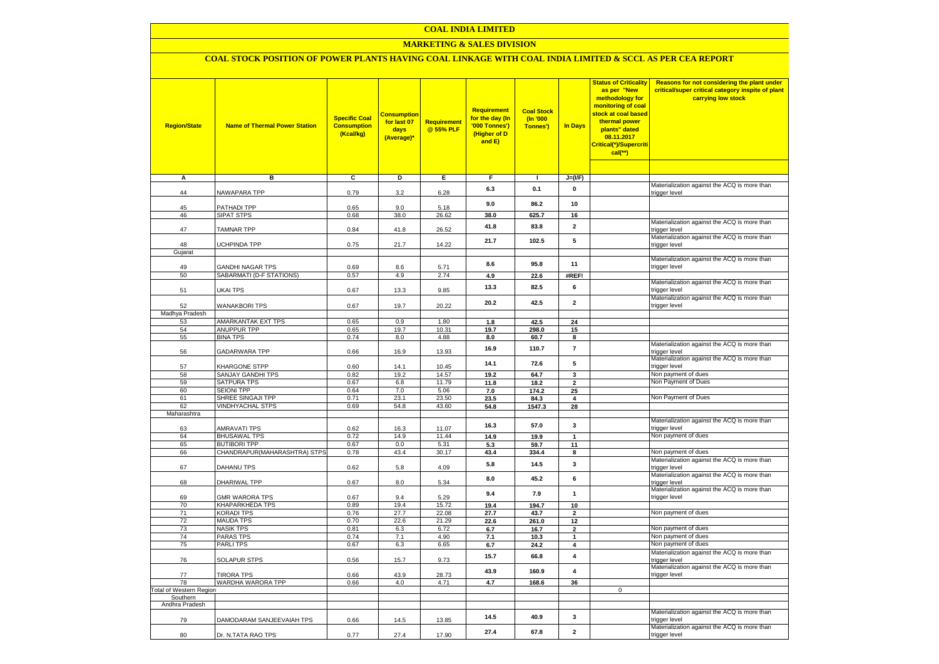#### **COAL INDIA LIMITED**

## **MARKETING & SALES DIVISION**

## **COAL STOCK POSITION OF POWER PLANTS HAVING COAL LINKAGE WITH COAL INDIA LIMITED & SCCL AS PER CEA REPORT**

| <b>Region/State</b>            | <b>Name of Thermal Power Station</b> | <b>Specific Coal</b><br><b>Consumption</b><br>(Kcal/kg) | <b>Consumption</b><br>for last 07<br>days<br>(Average)* | <b>Requirement</b><br>@ 55% PLF | Requirement<br>for the day (In<br>'000 Tonnes')<br>(Higher of D<br>and E) | <b>Coal Stock</b><br>(In '000<br>Tonnes') | In Days                 | <b>Status of Criticality</b><br>as per "New<br>methodology for<br>monitoring of coal<br>stock at coal based<br>thermal power<br>plants" dated<br>08.11.2017<br>Critical(*)/Supercriti<br>$cal$ (**) | Reasons for not considering the plant under<br>critical/super critical category inspite of plant<br>carrying low stock |
|--------------------------------|--------------------------------------|---------------------------------------------------------|---------------------------------------------------------|---------------------------------|---------------------------------------------------------------------------|-------------------------------------------|-------------------------|-----------------------------------------------------------------------------------------------------------------------------------------------------------------------------------------------------|------------------------------------------------------------------------------------------------------------------------|
|                                |                                      |                                                         |                                                         |                                 |                                                                           |                                           |                         |                                                                                                                                                                                                     |                                                                                                                        |
| А                              | в                                    | c                                                       | D                                                       | Ε                               | F                                                                         | п.                                        | $J=(IVF)$               |                                                                                                                                                                                                     | Materialization against the ACQ is more than                                                                           |
| 44                             | NAWAPARA TPP                         | 0.79                                                    | 3.2                                                     | 6.28                            | 6.3                                                                       | 0.1                                       | 0                       |                                                                                                                                                                                                     | trigger level                                                                                                          |
| 45                             | PATHADI TPP                          | 0.65                                                    | 9.0                                                     | 5.18                            | 9.0                                                                       | 86.2                                      | 10                      |                                                                                                                                                                                                     |                                                                                                                        |
| 46                             | <b>SIPAT STPS</b>                    | 0.68                                                    | 38.0                                                    | 26.62                           | 38.0                                                                      | 625.7                                     | 16                      |                                                                                                                                                                                                     |                                                                                                                        |
| 47                             | <b>TAMNAR TPP</b>                    | 0.84                                                    | 41.8                                                    | 26.52                           | 41.8                                                                      | 83.8                                      | $\overline{\mathbf{2}}$ |                                                                                                                                                                                                     | Materialization against the ACQ is more than<br>trigger level                                                          |
|                                |                                      |                                                         |                                                         |                                 | 21.7                                                                      | 102.5                                     | 5                       |                                                                                                                                                                                                     | Materialization against the ACQ is more than                                                                           |
| 48<br>Gujarat                  | UCHPINDA TPP                         | 0.75                                                    | 21.7                                                    | 14.22                           |                                                                           |                                           |                         |                                                                                                                                                                                                     | trigger level                                                                                                          |
|                                |                                      |                                                         |                                                         |                                 |                                                                           |                                           |                         |                                                                                                                                                                                                     | Materialization against the ACQ is more than                                                                           |
| 49                             | <b>GANDHI NAGAR TPS</b>              | 0.69                                                    | 8.6                                                     | 5.71                            | 8.6                                                                       | 95.8                                      | 11                      |                                                                                                                                                                                                     | trigger level                                                                                                          |
| 50                             | SABARMATI (D-F STATIONS)             | 0.57                                                    | 4.9                                                     | 2.74                            | 4.9                                                                       | 22.6                                      | #REF!                   |                                                                                                                                                                                                     |                                                                                                                        |
| 51                             | UKAI TPS                             | 0.67                                                    | 13.3                                                    | 9.85                            | 13.3                                                                      | 82.5                                      | 6                       |                                                                                                                                                                                                     | Materialization against the ACQ is more than<br>trigger level                                                          |
| 52                             | <b>WANAKBORI TPS</b>                 | 0.67                                                    | 19.7                                                    | 20.22                           | 20.2                                                                      | 42.5                                      | $\overline{\mathbf{2}}$ |                                                                                                                                                                                                     | Materialization against the ACQ is more than<br>trigger level                                                          |
| Madhya Pradesh                 |                                      |                                                         |                                                         |                                 |                                                                           |                                           |                         |                                                                                                                                                                                                     |                                                                                                                        |
| 53                             | AMARKANTAK EXT TPS                   | 0.65                                                    | 0.9                                                     | 1.80                            | 1.8                                                                       | 42.5                                      | 24                      |                                                                                                                                                                                                     |                                                                                                                        |
| 54                             | ANUPPUR TPP                          | 0.65                                                    | 19.7                                                    | 10.31                           | 19.7                                                                      | 298.0                                     | 15                      |                                                                                                                                                                                                     |                                                                                                                        |
| 55                             | <b>BINA TPS</b>                      | 0.74                                                    | 8.0                                                     | 4.88                            | 8.0                                                                       | 60.7                                      | 8                       |                                                                                                                                                                                                     |                                                                                                                        |
| 56                             | GADARWARA TPP                        | 0.66                                                    | 16.9                                                    | 13.93                           | 16.9                                                                      | 110.7                                     | $\overline{7}$          |                                                                                                                                                                                                     | Materialization against the ACQ is more than<br>trigger level                                                          |
| 57                             | KHARGONE STPP                        | 0.60                                                    | 14.1                                                    | 10.45                           | 14.1                                                                      | 72.6                                      | 5                       |                                                                                                                                                                                                     | Materialization against the ACQ is more than<br>trigger level                                                          |
| 58                             | SANJAY GANDHI TPS                    | 0.82                                                    | 19.2                                                    | 14.57                           | 19.2                                                                      | 64.7                                      | 3                       |                                                                                                                                                                                                     | Non payment of dues                                                                                                    |
| 59                             | SATPURA TPS                          | 0.67                                                    | 6.8                                                     | 11.79                           | 11.8                                                                      | 18.2                                      | $\overline{\mathbf{2}}$ |                                                                                                                                                                                                     | Non Payment of Dues                                                                                                    |
| 60                             | <b>SEIONI TPP</b>                    | 0.64                                                    | 7.0                                                     | 5.06                            | 7.0                                                                       | 174.2                                     | 25                      |                                                                                                                                                                                                     |                                                                                                                        |
| 61                             | SHREE SINGAJI TPP                    | 0.71                                                    | 23.1                                                    | 23.50                           | 23.5                                                                      | 84.3                                      | 4                       |                                                                                                                                                                                                     | Non Payment of Dues                                                                                                    |
| 62<br>Maharashtra              | <b>VINDHYACHAL STPS</b>              | 0.69                                                    | 54.8                                                    | 43.60                           | 54.8                                                                      | 1547.3                                    | 28                      |                                                                                                                                                                                                     |                                                                                                                        |
| 63                             | AMRAVATI TPS                         | 0.62                                                    | 16.3                                                    | 11.07                           | 16.3                                                                      | 57.0                                      | 3                       |                                                                                                                                                                                                     | Materialization against the ACQ is more than<br>trigger level                                                          |
| 64                             | <b>BHUSAWAL TPS</b>                  | 0.72                                                    | 14.9                                                    | 11.44                           | 14.9                                                                      | 19.9                                      | $\overline{1}$          |                                                                                                                                                                                                     | Non payment of dues                                                                                                    |
| 65                             | <b>BUTIBORI TPP</b>                  | 0.67                                                    | 0.0                                                     | 5.31                            | 5.3                                                                       | 59.7                                      | 11                      |                                                                                                                                                                                                     |                                                                                                                        |
| 66                             | CHANDRAPUR(MAHARASHTRA) STPS         | 0.78                                                    | 43.4                                                    | 30.17                           | 43.4                                                                      | 334.4                                     | 8                       |                                                                                                                                                                                                     | Non payment of dues                                                                                                    |
| 67                             | DAHANU TPS                           | 0.62                                                    | 5.8                                                     | 4.09                            | 5.8                                                                       | 14.5                                      | 3                       |                                                                                                                                                                                                     | Materialization against the ACQ is more than<br>trigger level                                                          |
|                                |                                      |                                                         |                                                         |                                 |                                                                           |                                           |                         |                                                                                                                                                                                                     | Materialization against the ACQ is more than                                                                           |
| 68                             | DHARIWAL TPP                         | 0.67                                                    | 8.0                                                     | 5.34                            | 8.0                                                                       | 45.2                                      | 6                       |                                                                                                                                                                                                     | trigger level<br>Materialization against the ACQ is more than                                                          |
| 69                             | <b>GMR WARORA TPS</b>                | 0.67                                                    | 9.4                                                     | 5.29                            | 9.4                                                                       | 7.9                                       | $\mathbf{1}$            |                                                                                                                                                                                                     | trigger level                                                                                                          |
| 70                             | <b>KHAPARKHEDA TPS</b>               | 0.89                                                    | 19.4                                                    | 15.72                           | 19.4                                                                      | 194.7                                     | 10                      |                                                                                                                                                                                                     |                                                                                                                        |
| 71                             | <b>KORADI TPS</b>                    | 0.76                                                    | 27.7                                                    | 22.08                           | 27.7                                                                      | 43.7                                      | $\overline{2}$          |                                                                                                                                                                                                     | Non payment of dues                                                                                                    |
| 72<br>73                       | <b>MAUDA TPS</b><br><b>NASIK TPS</b> | 0.70<br>0.81                                            | 22.6<br>6.3                                             | 21.29<br>6.72                   | 22.6<br>$6.7\,$                                                           | 261.0<br>16.7                             | 12<br>$\mathbf{2}$      |                                                                                                                                                                                                     | Non payment of dues                                                                                                    |
| 74                             | <b>PARAS TPS</b>                     | 0.74                                                    | 7.1                                                     | 4.90                            | 7.1                                                                       | 10.3                                      | $\mathbf{1}$            |                                                                                                                                                                                                     | Non payment of dues                                                                                                    |
| 75                             | <b>PARLITPS</b>                      | 0.67                                                    | 6.3                                                     | 6.65                            | 6.7                                                                       | 24.2                                      | 4                       |                                                                                                                                                                                                     | Non payment of dues                                                                                                    |
|                                |                                      |                                                         |                                                         |                                 |                                                                           |                                           |                         |                                                                                                                                                                                                     | Materialization against the ACQ is more than                                                                           |
| 76                             | <b>SOLAPUR STPS</b>                  | 0.56                                                    | 15.7                                                    | 9.73                            | 15.7                                                                      | 66.8                                      | 4                       |                                                                                                                                                                                                     | trigger level<br>Materialization against the ACQ is more than                                                          |
| 77                             | <b>TIRORA TPS</b>                    | 0.66                                                    | 43.9                                                    | 28.73                           | 43.9                                                                      | 160.9                                     | 4                       |                                                                                                                                                                                                     | trigger level                                                                                                          |
| 78                             | WARDHA WARORA TPP                    | 0.66                                                    | 4.0                                                     | 4.71                            | 4.7                                                                       | 168.6                                     | 36                      |                                                                                                                                                                                                     |                                                                                                                        |
| <b>Total of Western Region</b> |                                      |                                                         |                                                         |                                 |                                                                           |                                           |                         | $\mathbf 0$                                                                                                                                                                                         |                                                                                                                        |
| Southern                       |                                      |                                                         |                                                         |                                 |                                                                           |                                           |                         |                                                                                                                                                                                                     |                                                                                                                        |
| Andhra Pradesh                 |                                      |                                                         |                                                         |                                 |                                                                           |                                           |                         |                                                                                                                                                                                                     | Materialization against the ACQ is more than                                                                           |
| 79                             | DAMODARAM SANJEEVAIAH TPS            | 0.66                                                    | 14.5                                                    | 13.85                           | 14.5                                                                      | 40.9                                      | 3                       |                                                                                                                                                                                                     | trigger level<br>Materialization against the ACQ is more than                                                          |
| 80                             | Dr. N.TATA RAO TPS                   | 0.77                                                    | 27.4                                                    | 17.90                           | 27.4                                                                      | 67.8                                      | $\mathbf{2}$            |                                                                                                                                                                                                     | trigger level                                                                                                          |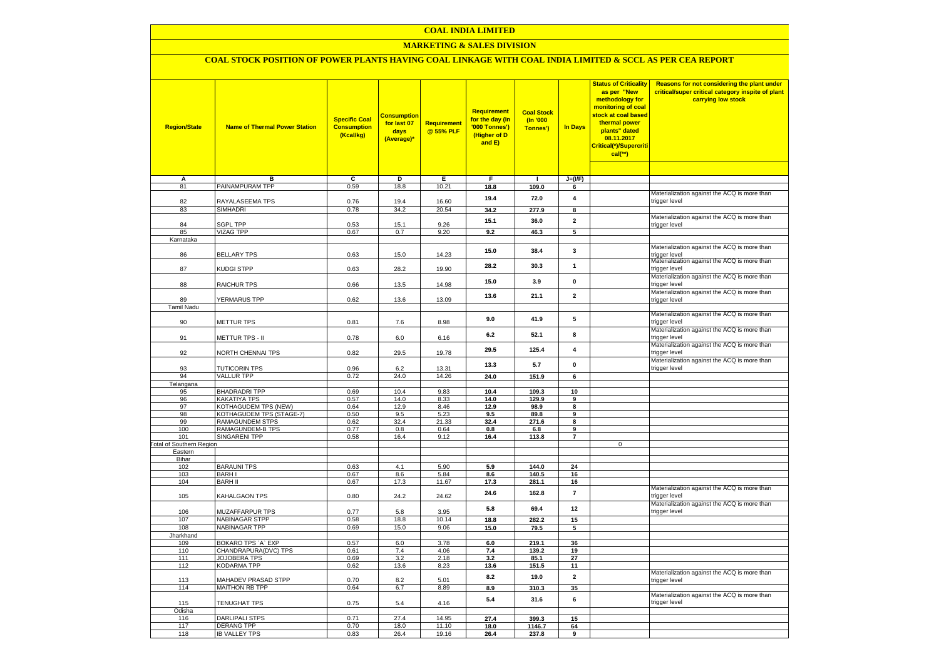## **COAL INDIA LIMITED**

## **MARKETING & SALES DIVISION**

# **COAL STOCK POSITION OF POWER PLANTS HAVING COAL LINKAGE WITH COAL INDIA LIMITED & SCCL AS PER CEA REPORT**

| <b>Region/State</b>                    | <b>Name of Thermal Power Station</b>      | <b>Specific Coal</b><br><b>Consumption</b><br>(Kcal/kg) | <mark>Consumption</mark><br>for last 07<br>days<br>(Average)* | <b>Requirement</b><br>@ 55% PLF | <b>Requirement</b><br>for the day (In<br>'000 Tonnes')<br>(Higher of D<br>and E) | <b>Coal Stock</b><br>(In '000<br>Tonnes') | <b>In Days</b>          | <b>Status of Criticality</b><br>as per "New<br>methodology for<br>monitoring of coal<br>stock at coal based<br>thermal power<br>plants" dated<br>08.11.2017<br>Critical(*)/Supercriti<br>$cal$ (**) | Reasons for not considering the plant under<br>critical/super critical category inspite of plant<br>carrying low stock |
|----------------------------------------|-------------------------------------------|---------------------------------------------------------|---------------------------------------------------------------|---------------------------------|----------------------------------------------------------------------------------|-------------------------------------------|-------------------------|-----------------------------------------------------------------------------------------------------------------------------------------------------------------------------------------------------|------------------------------------------------------------------------------------------------------------------------|
|                                        | в                                         | c                                                       |                                                               |                                 | F                                                                                |                                           | $J=(I/F)$               |                                                                                                                                                                                                     |                                                                                                                        |
| А<br>81                                | PAINAMPURAM TPP                           | 0.59                                                    | D<br>18.8                                                     | Е<br>10.21                      | 18.8                                                                             | $\mathbf{I}$<br>109.0                     | 6                       |                                                                                                                                                                                                     |                                                                                                                        |
|                                        |                                           |                                                         |                                                               |                                 | 19.4                                                                             | 72.0                                      | $\overline{\mathbf{4}}$ |                                                                                                                                                                                                     | Materialization against the ACQ is more than                                                                           |
| 82                                     | RAYALASEEMA TPS                           | 0.76                                                    | 19.4                                                          | 16.60                           |                                                                                  |                                           |                         |                                                                                                                                                                                                     | trigger level                                                                                                          |
| 83                                     | <b>SIMHADRI</b>                           | 0.78                                                    | 34.2                                                          | 20.54                           | 34.2                                                                             | 277.9                                     | 8                       |                                                                                                                                                                                                     | Materialization against the ACQ is more than                                                                           |
| 84                                     | <b>SGPL TPP</b>                           | 0.53                                                    | 15.1                                                          | 9.26                            | 15.1                                                                             | 36.0                                      | $\mathbf{2}$            |                                                                                                                                                                                                     | trigger level                                                                                                          |
| 85                                     | <b>VIZAG TPP</b>                          | 0.67                                                    | 0.7                                                           | 9.20                            | 9.2                                                                              | 46.3                                      | 5                       |                                                                                                                                                                                                     |                                                                                                                        |
| Karnataka                              |                                           |                                                         |                                                               |                                 |                                                                                  |                                           |                         |                                                                                                                                                                                                     |                                                                                                                        |
| 86                                     | <b>BELLARY TPS</b>                        | 0.63                                                    | 15.0                                                          | 14.23                           | 15.0                                                                             | 38.4                                      | 3                       |                                                                                                                                                                                                     | Materialization against the ACQ is more than<br>trigger level                                                          |
|                                        |                                           |                                                         |                                                               |                                 |                                                                                  |                                           |                         |                                                                                                                                                                                                     | Materialization against the ACQ is more than                                                                           |
| 87                                     | <b>KUDGI STPP</b>                         | 0.63                                                    | 28.2                                                          | 19.90                           | 28.2                                                                             | 30.3                                      | $\mathbf{1}$            |                                                                                                                                                                                                     | trigger level                                                                                                          |
|                                        |                                           |                                                         |                                                               |                                 | 15.0                                                                             | 3.9                                       | $\mathbf 0$             |                                                                                                                                                                                                     | Materialization against the ACQ is more than                                                                           |
| 88                                     | RAICHUR TPS                               | 0.66                                                    | 13.5                                                          | 14.98                           |                                                                                  |                                           |                         |                                                                                                                                                                                                     | trigger level<br>Materialization against the ACQ is more than                                                          |
| 89                                     | YERMARUS TPP                              | 0.62                                                    | 13.6                                                          | 13.09                           | 13.6                                                                             | 21.1                                      | $\overline{2}$          |                                                                                                                                                                                                     | trigger level                                                                                                          |
| Tamil Nadu                             |                                           |                                                         |                                                               |                                 |                                                                                  |                                           |                         |                                                                                                                                                                                                     |                                                                                                                        |
|                                        |                                           |                                                         |                                                               |                                 | 9.0                                                                              | 41.9                                      | 5                       |                                                                                                                                                                                                     | Materialization against the ACQ is more than                                                                           |
| 90                                     | METTUR TPS                                | 0.81                                                    | 7.6                                                           | 8.98                            |                                                                                  |                                           |                         |                                                                                                                                                                                                     | trigger level                                                                                                          |
| 91                                     | METTUR TPS - II                           | 0.78                                                    | 6.0                                                           | 6.16                            | 6.2                                                                              | 52.1                                      | 8                       |                                                                                                                                                                                                     | Materialization against the ACQ is more than<br>trigger level                                                          |
|                                        |                                           |                                                         |                                                               |                                 |                                                                                  |                                           |                         |                                                                                                                                                                                                     | Materialization against the ACQ is more than                                                                           |
| 92                                     | NORTH CHENNAI TPS                         | 0.82                                                    | 29.5                                                          | 19.78                           | 29.5                                                                             | 125.4                                     | 4                       |                                                                                                                                                                                                     | trigger level                                                                                                          |
|                                        |                                           |                                                         |                                                               |                                 | 13.3                                                                             | 5.7                                       | $\mathbf 0$             |                                                                                                                                                                                                     | Materialization against the ACQ is more than                                                                           |
| 93                                     | <b>TUTICORIN TPS</b>                      | 0.96                                                    | 6.2                                                           | 13.31                           |                                                                                  |                                           |                         |                                                                                                                                                                                                     | trigger level                                                                                                          |
| 94                                     | <b>VALLUR TPP</b>                         | 0.72                                                    | 24.0                                                          | 14.26                           | 24.0                                                                             | 151.9                                     | 6                       |                                                                                                                                                                                                     |                                                                                                                        |
| Telangana<br>95                        | <b>BHADRADRI TPP</b>                      | 0.69                                                    | 10.4                                                          | 9.83                            | 10.4                                                                             | 109.3                                     | 10                      |                                                                                                                                                                                                     |                                                                                                                        |
| 96                                     | KAKATIYA TPS                              | 0.57                                                    | 14.0                                                          | 8.33                            | 14.0                                                                             | 129.9                                     | 9                       |                                                                                                                                                                                                     |                                                                                                                        |
| 97                                     | KOTHAGUDEM TPS (NEW)                      | 0.64                                                    | 12.9                                                          | 8.46                            | 12.9                                                                             | 98.9                                      | 8                       |                                                                                                                                                                                                     |                                                                                                                        |
| 98                                     | KOTHAGUDEM TPS (STAGE-7)                  | 0.50                                                    | 9.5                                                           | 5.23                            | 9.5                                                                              | 89.8                                      | 9                       |                                                                                                                                                                                                     |                                                                                                                        |
| 99                                     | RAMAGUNDEM STPS                           | 0.62                                                    | 32.4                                                          | 21.33                           | 32.4                                                                             | 271.6                                     | 8                       |                                                                                                                                                                                                     |                                                                                                                        |
| 100                                    | RAMAGUNDEM-B TPS                          | 0.77                                                    | 0.8                                                           | 0.64                            | 0.8                                                                              | 6.8                                       | $\overline{9}$          |                                                                                                                                                                                                     |                                                                                                                        |
| 101<br><b>Total of Southern Region</b> | <b>SINGARENI TPP</b>                      | 0.58                                                    | 16.4                                                          | 9.12                            | 16.4                                                                             | 113.8                                     | $\overline{\mathbf{r}}$ | $\mathsf 0$                                                                                                                                                                                         |                                                                                                                        |
| Eastern                                |                                           |                                                         |                                                               |                                 |                                                                                  |                                           |                         |                                                                                                                                                                                                     |                                                                                                                        |
| Bihar                                  |                                           |                                                         |                                                               |                                 |                                                                                  |                                           |                         |                                                                                                                                                                                                     |                                                                                                                        |
| 102                                    | <b>BARAUNI TPS</b>                        | 0.63                                                    | 4.1                                                           | 5.90                            | 5.9                                                                              | 144.0                                     | 24                      |                                                                                                                                                                                                     |                                                                                                                        |
| 103                                    | <b>BARHI</b>                              | 0.67                                                    | 8.6                                                           | 5.84                            | 8.6                                                                              | 140.5                                     | 16                      |                                                                                                                                                                                                     |                                                                                                                        |
| 104                                    | <b>BARH II</b>                            | 0.67                                                    | 17.3                                                          | 11.67                           | 17.3                                                                             | 281.1                                     | 16                      |                                                                                                                                                                                                     | Materialization against the ACQ is more than                                                                           |
| 105                                    | KAHALGAON TPS                             | 0.80                                                    | 24.2                                                          | 24.62                           | 24.6                                                                             | 162.8                                     | $\overline{7}$          |                                                                                                                                                                                                     | trigger level                                                                                                          |
|                                        |                                           |                                                         |                                                               |                                 |                                                                                  |                                           |                         |                                                                                                                                                                                                     | Materialization against the ACQ is more than                                                                           |
| 106                                    | MUZAFFARPUR TPS                           | 0.77                                                    | 5.8                                                           | 3.95                            | 5.8                                                                              | 69.4                                      | 12                      |                                                                                                                                                                                                     | trigger level                                                                                                          |
| 107                                    | <b>NABINAGAR STPP</b>                     | 0.58                                                    | 18.8                                                          | 10.14                           | 18.8                                                                             | 282.2                                     | 15                      |                                                                                                                                                                                                     |                                                                                                                        |
| 108                                    | <b>NABINAGAR TPP</b>                      | 0.69                                                    | 15.0                                                          | 9.06                            | 15.0                                                                             | 79.5                                      | 5                       |                                                                                                                                                                                                     |                                                                                                                        |
| Jharkhand<br>109                       | BOKARO TPS `A` EXP                        | 0.57                                                    | 6.0                                                           | 3.78                            | 6.0                                                                              | 219.1                                     | 36                      |                                                                                                                                                                                                     |                                                                                                                        |
| 110                                    | CHANDRAPURA(DVC) TPS                      | 0.61                                                    | 7.4                                                           | 4.06                            | 7.4                                                                              | 139.2                                     | 19                      |                                                                                                                                                                                                     |                                                                                                                        |
| 111                                    | JOJOBERA TPS                              | 0.69                                                    | 3.2                                                           | 2.18                            | 3.2                                                                              | 85.1                                      | 27                      |                                                                                                                                                                                                     |                                                                                                                        |
| 112                                    | KODARMA TPP                               | 0.62                                                    | 13.6                                                          | 8.23                            | 13.6                                                                             | 151.5                                     | 11                      |                                                                                                                                                                                                     |                                                                                                                        |
| 113                                    | MAHADEV PRASAD STPP                       | 0.70                                                    | 8.2                                                           | 5.01                            | 8.2                                                                              | 19.0                                      | $\mathbf 2$             |                                                                                                                                                                                                     | Materialization against the ACQ is more than<br>trigger level                                                          |
| 114                                    | <b>MAITHON RB TPP</b>                     | 0.64                                                    | 6.7                                                           | 8.89                            | 8.9                                                                              | 310.3                                     | 35                      |                                                                                                                                                                                                     |                                                                                                                        |
|                                        |                                           |                                                         |                                                               |                                 |                                                                                  |                                           |                         |                                                                                                                                                                                                     | Materialization against the ACQ is more than                                                                           |
| 115                                    | <b>TENUGHAT TPS</b>                       | 0.75                                                    | 5.4                                                           | 4.16                            | 5.4                                                                              | 31.6                                      | 6                       |                                                                                                                                                                                                     | trigger level                                                                                                          |
| Odisha                                 |                                           |                                                         |                                                               |                                 |                                                                                  |                                           |                         |                                                                                                                                                                                                     |                                                                                                                        |
| 116                                    | <b>DARLIPALI STPS</b>                     | 0.71                                                    | 27.4                                                          | 14.95                           | 27.4                                                                             | 399.3                                     | 15                      |                                                                                                                                                                                                     |                                                                                                                        |
| 117<br>118                             | <b>DERANG TPP</b><br><b>IB VALLEY TPS</b> | 0.70<br>0.83                                            | 18.0<br>26.4                                                  | 11.10<br>19.16                  | 18.0<br>26.4                                                                     | 1146.7<br>237.8                           | 64<br>9                 |                                                                                                                                                                                                     |                                                                                                                        |
|                                        |                                           |                                                         |                                                               |                                 |                                                                                  |                                           |                         |                                                                                                                                                                                                     |                                                                                                                        |